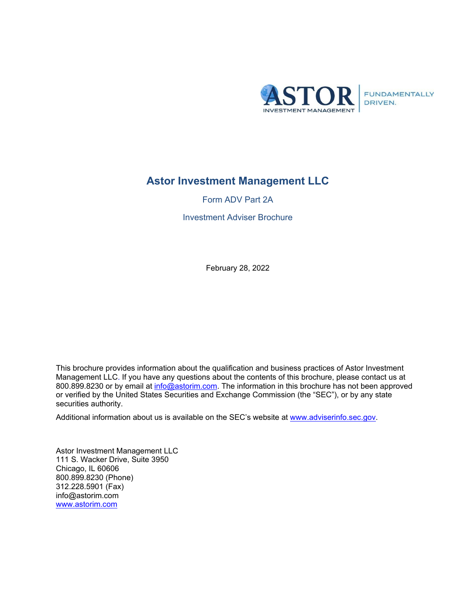

FUNDAMENTALLY<br>DRIVEN.

# **Astor Investment Management LLC**

Form ADV Part 2A

Investment Adviser Brochure

February 28, 2022

This brochure provides information about the qualification and business practices of Astor Investment Management LLC. If you have any questions about the contents of this brochure, please contact us at 800.899.8230 or by email at [info@astorim.com.](mailto:info@astorim.com) The information in this brochure has not been approved or verified by the United States Securities and Exchange Commission (the "SEC"), or by any state securities authority.

Additional information about us is available on the SEC's website at www.adviserinfo.sec.gov.

Astor Investment Management LLC 111 S. Wacker Drive, Suite 3950 Chicago, IL 60606 800.899.8230 (Phone) 312.228.5901 (Fax) info@astorim.com [www.astorim.com](http://www.astorim.com/)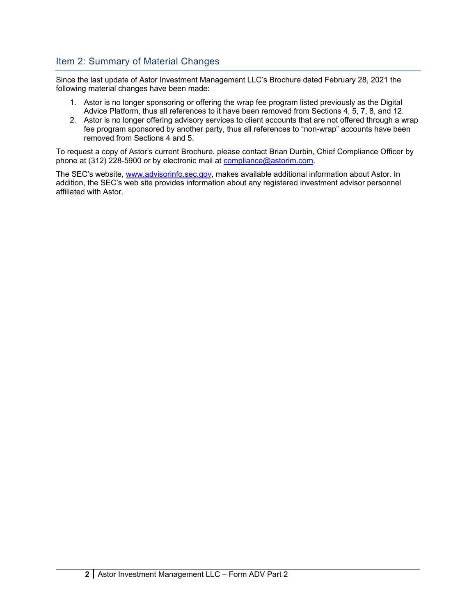# <span id="page-1-0"></span>Item 2: Summary of Material Changes

Since the last update of Astor Investment Management LLC's Brochure dated February 28, 2021 the following material changes have been made:

- 1. Astor is no longer sponsoring or offering the wrap fee program listed previously as the Digital Advice Platform, thus all references to it have been removed from Sections 4, 5, 7, 8, and 12.
- 2. Astor is no longer offering advisory services to client accounts that are not offered through a wrap fee program sponsored by another party, thus all references to "non-wrap" accounts have been removed from Sections 4 and 5.

To request a copy of Astor's current Brochure, please contact Brian Durbin, Chief Compliance Officer by phone at (312) 228-5900 or by electronic mail at [compliance@astorim.com.](mailto:compliance@astorim.com)

The SEC's website, [www.advisorinfo.sec.gov,](http://www.advisorinfo.sec.gov/) makes available additional information about Astor. In addition, the SEC's web site provides information about any registered investment advisor personnel affiliated with Astor.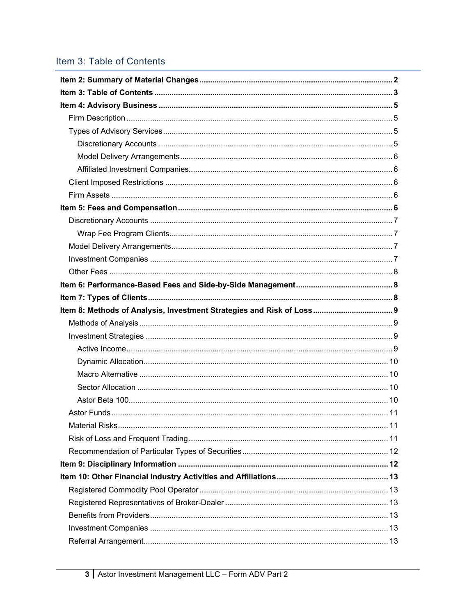# <span id="page-2-0"></span>Item 3: Table of Contents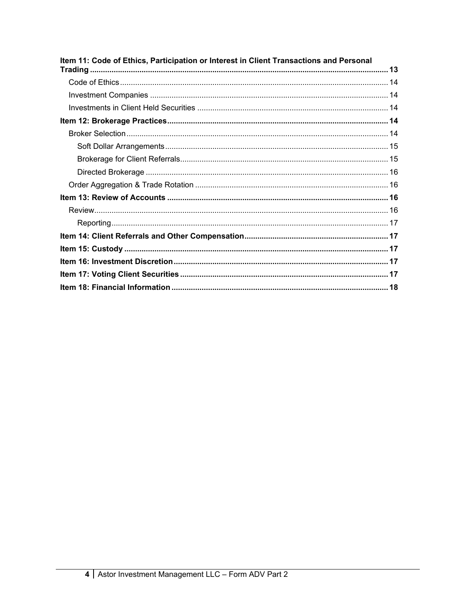| Item 11: Code of Ethics, Participation or Interest in Client Transactions and Personal |  |
|----------------------------------------------------------------------------------------|--|
|                                                                                        |  |
|                                                                                        |  |
|                                                                                        |  |
|                                                                                        |  |
|                                                                                        |  |
|                                                                                        |  |
|                                                                                        |  |
|                                                                                        |  |
|                                                                                        |  |
|                                                                                        |  |
|                                                                                        |  |
|                                                                                        |  |
|                                                                                        |  |
|                                                                                        |  |
|                                                                                        |  |
|                                                                                        |  |
|                                                                                        |  |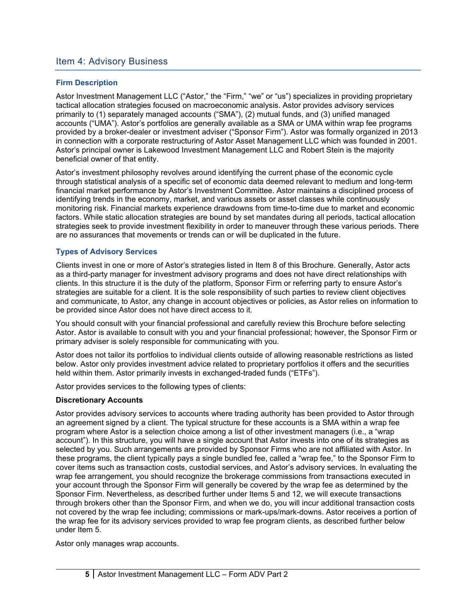### <span id="page-4-0"></span>Item 4: Advisory Business

#### <span id="page-4-1"></span>**Firm Description**

Astor Investment Management LLC ("Astor," the "Firm," "we" or "us") specializes in providing proprietary tactical allocation strategies focused on macroeconomic analysis. Astor provides advisory services primarily to (1) separately managed accounts ("SMA"), (2) mutual funds, and (3) unified managed accounts ("UMA"). Astor's portfolios are generally available as a SMA or UMA within wrap fee programs provided by a broker-dealer or investment adviser ("Sponsor Firm"). Astor was formally organized in 2013 in connection with a corporate restructuring of Astor Asset Management LLC which was founded in 2001. Astor's principal owner is Lakewood Investment Management LLC and Robert Stein is the majority beneficial owner of that entity.

Astor's investment philosophy revolves around identifying the current phase of the economic cycle through statistical analysis of a specific set of economic data deemed relevant to medium and long-term financial market performance by Astor's Investment Committee. Astor maintains a disciplined process of identifying trends in the economy, market, and various assets or asset classes while continuously monitoring risk. Financial markets experience drawdowns from time-to-time due to market and economic factors. While static allocation strategies are bound by set mandates during all periods, tactical allocation strategies seek to provide investment flexibility in order to maneuver through these various periods. There are no assurances that movements or trends can or will be duplicated in the future.

#### <span id="page-4-2"></span>**Types of Advisory Services**

Clients invest in one or more of Astor's strategies listed in Item 8 of this Brochure. Generally, Astor acts as a third-party manager for investment advisory programs and does not have direct relationships with clients. In this structure it is the duty of the platform, Sponsor Firm or referring party to ensure Astor's strategies are suitable for a client. It is the sole responsibility of such parties to review client objectives and communicate, to Astor, any change in account objectives or policies, as Astor relies on information to be provided since Astor does not have direct access to it.

You should consult with your financial professional and carefully review this Brochure before selecting Astor. Astor is available to consult with you and your financial professional; however, the Sponsor Firm or primary adviser is solely responsible for communicating with you.

Astor does not tailor its portfolios to individual clients outside of allowing reasonable restrictions as listed below. Astor only provides investment advice related to proprietary portfolios it offers and the securities held within them. Astor primarily invests in exchanged-traded funds ("ETFs").

Astor provides services to the following types of clients:

#### <span id="page-4-3"></span>**Discretionary Accounts**

Astor provides advisory services to accounts where trading authority has been provided to Astor through an agreement signed by a client. The typical structure for these accounts is a SMA within a wrap fee program where Astor is a selection choice among a list of other investment managers (i.e., a "wrap account"). In this structure, you will have a single account that Astor invests into one of its strategies as selected by you. Such arrangements are provided by Sponsor Firms who are not affiliated with Astor. In these programs, the client typically pays a single bundled fee, called a "wrap fee," to the Sponsor Firm to cover items such as transaction costs, custodial services, and Astor's advisory services. In evaluating the wrap fee arrangement, you should recognize the brokerage commissions from transactions executed in your account through the Sponsor Firm will generally be covered by the wrap fee as determined by the Sponsor Firm. Nevertheless, as described further under Items 5 and 12, we will execute transactions through brokers other than the Sponsor Firm, and when we do, you will incur additional transaction costs not covered by the wrap fee including; commissions or mark-ups/mark-downs. Astor receives a portion of the wrap fee for its advisory services provided to wrap fee program clients, as described further below under Item 5.

Astor only manages wrap accounts.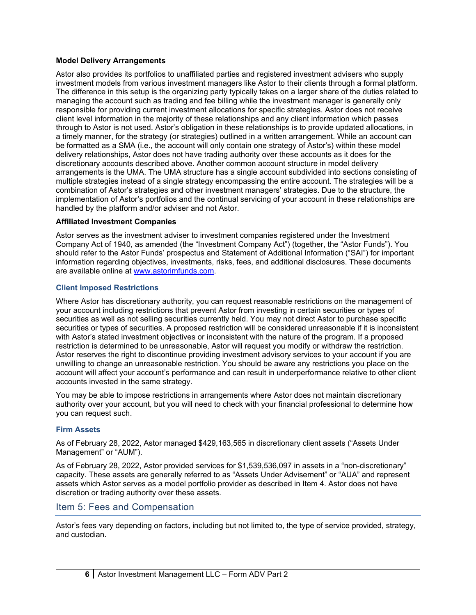#### <span id="page-5-0"></span>**Model Delivery Arrangements**

Astor also provides its portfolios to unaffiliated parties and registered investment advisers who supply investment models from various investment managers like Astor to their clients through a formal platform. The difference in this setup is the organizing party typically takes on a larger share of the duties related to managing the account such as trading and fee billing while the investment manager is generally only responsible for providing current investment allocations for specific strategies. Astor does not receive client level information in the majority of these relationships and any client information which passes through to Astor is not used. Astor's obligation in these relationships is to provide updated allocations, in a timely manner, for the strategy (or strategies) outlined in a written arrangement. While an account can be formatted as a SMA (i.e., the account will only contain one strategy of Astor's) within these model delivery relationships, Astor does not have trading authority over these accounts as it does for the discretionary accounts described above. Another common account structure in model delivery arrangements is the UMA. The UMA structure has a single account subdivided into sections consisting of multiple strategies instead of a single strategy encompassing the entire account. The strategies will be a combination of Astor's strategies and other investment managers' strategies. Due to the structure, the implementation of Astor's portfolios and the continual servicing of your account in these relationships are handled by the platform and/or adviser and not Astor.

#### <span id="page-5-1"></span>**Affiliated Investment Companies**

Astor serves as the investment adviser to investment companies registered under the Investment Company Act of 1940, as amended (the "Investment Company Act") (together, the "Astor Funds"). You should refer to the Astor Funds' prospectus and Statement of Additional Information ("SAI") for important information regarding objectives, investments, risks, fees, and additional disclosures. These documents are available online at [www.astorimfunds.com.](http://www.astorimfunds.com/)

#### <span id="page-5-2"></span>**Client Imposed Restrictions**

Where Astor has discretionary authority, you can request reasonable restrictions on the management of your account including restrictions that prevent Astor from investing in certain securities or types of securities as well as not selling securities currently held. You may not direct Astor to purchase specific securities or types of securities. A proposed restriction will be considered unreasonable if it is inconsistent with Astor's stated investment objectives or inconsistent with the nature of the program. If a proposed restriction is determined to be unreasonable, Astor will request you modify or withdraw the restriction. Astor reserves the right to discontinue providing investment advisory services to your account if you are unwilling to change an unreasonable restriction. You should be aware any restrictions you place on the account will affect your account's performance and can result in underperformance relative to other client accounts invested in the same strategy.

You may be able to impose restrictions in arrangements where Astor does not maintain discretionary authority over your account, but you will need to check with your financial professional to determine how you can request such.

#### <span id="page-5-3"></span>**Firm Assets**

As of February 28, 2022, Astor managed \$429,163,565 in discretionary client assets ("Assets Under Management" or "AUM").

As of February 28, 2022, Astor provided services for \$1,539,536,097 in assets in a "non-discretionary" capacity. These assets are generally referred to as "Assets Under Advisement" or "AUA" and represent assets which Astor serves as a model portfolio provider as described in Item 4. Astor does not have discretion or trading authority over these assets.

#### <span id="page-5-4"></span>Item 5: Fees and Compensation

Astor's fees vary depending on factors, including but not limited to, the type of service provided, strategy, and custodian.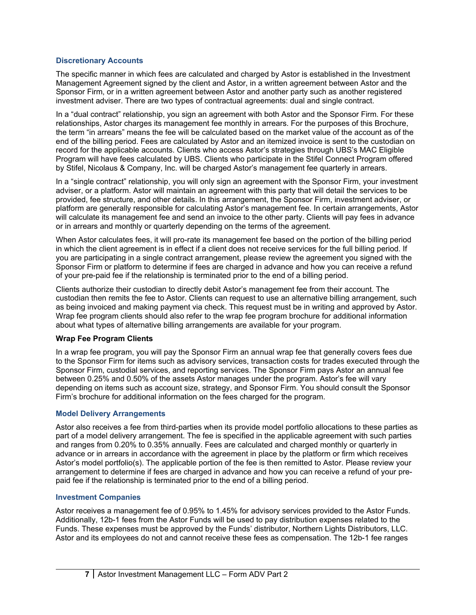#### <span id="page-6-0"></span>**Discretionary Accounts**

The specific manner in which fees are calculated and charged by Astor is established in the Investment Management Agreement signed by the client and Astor, in a written agreement between Astor and the Sponsor Firm, or in a written agreement between Astor and another party such as another registered investment adviser. There are two types of contractual agreements: dual and single contract.

In a "dual contract" relationship, you sign an agreement with both Astor and the Sponsor Firm. For these relationships, Astor charges its management fee monthly in arrears. For the purposes of this Brochure, the term "in arrears" means the fee will be calculated based on the market value of the account as of the end of the billing period. Fees are calculated by Astor and an itemized invoice is sent to the custodian on record for the applicable accounts. Clients who access Astor's strategies through UBS's MAC Eligible Program will have fees calculated by UBS. Clients who participate in the Stifel Connect Program offered by Stifel, Nicolaus & Company, Inc. will be charged Astor's management fee quarterly in arrears.

In a "single contract" relationship, you will only sign an agreement with the Sponsor Firm, your investment adviser, or a platform. Astor will maintain an agreement with this party that will detail the services to be provided, fee structure, and other details. In this arrangement, the Sponsor Firm, investment adviser, or platform are generally responsible for calculating Astor's management fee. In certain arrangements, Astor will calculate its management fee and send an invoice to the other party. Clients will pay fees in advance or in arrears and monthly or quarterly depending on the terms of the agreement.

When Astor calculates fees, it will pro-rate its management fee based on the portion of the billing period in which the client agreement is in effect if a client does not receive services for the full billing period. If you are participating in a single contract arrangement, please review the agreement you signed with the Sponsor Firm or platform to determine if fees are charged in advance and how you can receive a refund of your pre-paid fee if the relationship is terminated prior to the end of a billing period.

Clients authorize their custodian to directly debit Astor's management fee from their account. The custodian then remits the fee to Astor. Clients can request to use an alternative billing arrangement, such as being invoiced and making payment via check. This request must be in writing and approved by Astor. Wrap fee program clients should also refer to the wrap fee program brochure for additional information about what types of alternative billing arrangements are available for your program.

#### <span id="page-6-1"></span>**Wrap Fee Program Clients**

In a wrap fee program, you will pay the Sponsor Firm an annual wrap fee that generally covers fees due to the Sponsor Firm for items such as advisory services, transaction costs for trades executed through the Sponsor Firm, custodial services, and reporting services. The Sponsor Firm pays Astor an annual fee between 0.25% and 0.50% of the assets Astor manages under the program. Astor's fee will vary depending on items such as account size, strategy, and Sponsor Firm. You should consult the Sponsor Firm's brochure for additional information on the fees charged for the program.

#### <span id="page-6-2"></span>**Model Delivery Arrangements**

Astor also receives a fee from third-parties when its provide model portfolio allocations to these parties as part of a model delivery arrangement. The fee is specified in the applicable agreement with such parties and ranges from 0.20% to 0.35% annually. Fees are calculated and charged monthly or quarterly in advance or in arrears in accordance with the agreement in place by the platform or firm which receives Astor's model portfolio(s). The applicable portion of the fee is then remitted to Astor. Please review your arrangement to determine if fees are charged in advance and how you can receive a refund of your prepaid fee if the relationship is terminated prior to the end of a billing period.

#### <span id="page-6-3"></span>**Investment Companies**

Astor receives a management fee of 0.95% to 1.45% for advisory services provided to the Astor Funds. Additionally, 12b-1 fees from the Astor Funds will be used to pay distribution expenses related to the Funds. These expenses must be approved by the Funds' distributor, Northern Lights Distributors, LLC. Astor and its employees do not and cannot receive these fees as compensation. The 12b-1 fee ranges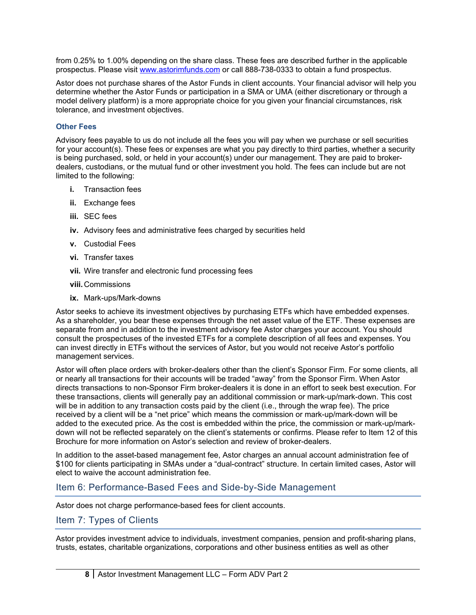from 0.25% to 1.00% depending on the share class. These fees are described further in the applicable prospectus. Please visit [www.astorimfunds.com](http://www.astorimfunds.com/) or call 888-738-0333 to obtain a fund prospectus.

Astor does not purchase shares of the Astor Funds in client accounts. Your financial advisor will help you determine whether the Astor Funds or participation in a SMA or UMA (either discretionary or through a model delivery platform) is a more appropriate choice for you given your financial circumstances, risk tolerance, and investment objectives.

#### <span id="page-7-0"></span>**Other Fees**

Advisory fees payable to us do not include all the fees you will pay when we purchase or sell securities for your account(s). These fees or expenses are what you pay directly to third parties, whether a security is being purchased, sold, or held in your account(s) under our management. They are paid to brokerdealers, custodians, or the mutual fund or other investment you hold. The fees can include but are not limited to the following:

- **i.** Transaction fees
- **ii.** Exchange fees
- **iii.** SEC fees
- **iv.** Advisory fees and administrative fees charged by securities held
- **v.** Custodial Fees
- **vi.** Transfer taxes
- **vii.** Wire transfer and electronic fund processing fees
- **viii.**Commissions
- **ix.** Mark-ups/Mark-downs

Astor seeks to achieve its investment objectives by purchasing ETFs which have embedded expenses. As a shareholder, you bear these expenses through the net asset value of the ETF. These expenses are separate from and in addition to the investment advisory fee Astor charges your account. You should consult the prospectuses of the invested ETFs for a complete description of all fees and expenses. You can invest directly in ETFs without the services of Astor, but you would not receive Astor's portfolio management services.

Astor will often place orders with broker-dealers other than the client's Sponsor Firm. For some clients, all or nearly all transactions for their accounts will be traded "away" from the Sponsor Firm. When Astor directs transactions to non-Sponsor Firm broker-dealers it is done in an effort to seek best execution. For these transactions, clients will generally pay an additional commission or mark-up/mark-down. This cost will be in addition to any transaction costs paid by the client (i.e., through the wrap fee). The price received by a client will be a "net price" which means the commission or mark-up/mark-down will be added to the executed price. As the cost is embedded within the price, the commission or mark-up/markdown will not be reflected separately on the client's statements or confirms. Please refer to Item 12 of this Brochure for more information on Astor's selection and review of broker-dealers.

In addition to the asset-based management fee, Astor charges an annual account administration fee of \$100 for clients participating in SMAs under a "dual-contract" structure. In certain limited cases, Astor will elect to waive the account administration fee.

### <span id="page-7-1"></span>Item 6: Performance-Based Fees and Side-by-Side Management

Astor does not charge performance-based fees for client accounts.

#### <span id="page-7-2"></span>Item 7: Types of Clients

Astor provides investment advice to individuals, investment companies, pension and profit-sharing plans, trusts, estates, charitable organizations, corporations and other business entities as well as other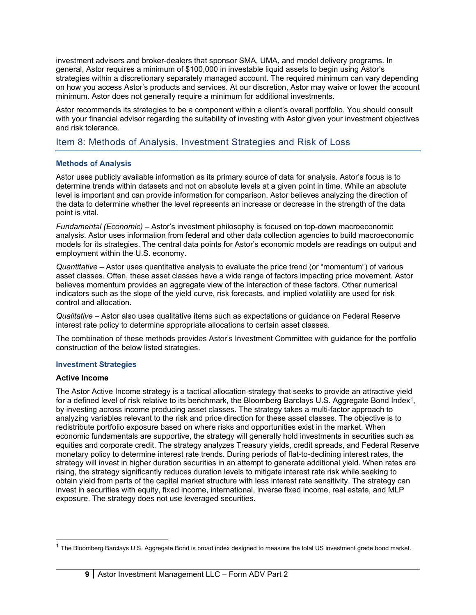investment advisers and broker-dealers that sponsor SMA, UMA, and model delivery programs. In general, Astor requires a minimum of \$100,000 in investable liquid assets to begin using Astor's strategies within a discretionary separately managed account. The required minimum can vary depending on how you access Astor's products and services. At our discretion, Astor may waive or lower the account minimum. Astor does not generally require a minimum for additional investments.

Astor recommends its strategies to be a component within a client's overall portfolio. You should consult with your financial advisor regarding the suitability of investing with Astor given your investment objectives and risk tolerance.

## <span id="page-8-0"></span>Item 8: Methods of Analysis, Investment Strategies and Risk of Loss

#### <span id="page-8-1"></span>**Methods of Analysis**

Astor uses publicly available information as its primary source of data for analysis. Astor's focus is to determine trends within datasets and not on absolute levels at a given point in time. While an absolute level is important and can provide information for comparison, Astor believes analyzing the direction of the data to determine whether the level represents an increase or decrease in the strength of the data point is vital.

*Fundamental (Economic) –* Astor's investment philosophy is focused on top-down macroeconomic analysis. Astor uses information from federal and other data collection agencies to build macroeconomic models for its strategies. The central data points for Astor's economic models are readings on output and employment within the U.S. economy.

*Quantitative* – Astor uses quantitative analysis to evaluate the price trend (or "momentum") of various asset classes. Often, these asset classes have a wide range of factors impacting price movement. Astor believes momentum provides an aggregate view of the interaction of these factors. Other numerical indicators such as the slope of the yield curve, risk forecasts, and implied volatility are used for risk control and allocation.

*Qualitative* – Astor also uses qualitative items such as expectations or guidance on Federal Reserve interest rate policy to determine appropriate allocations to certain asset classes.

The combination of these methods provides Astor's Investment Committee with guidance for the portfolio construction of the below listed strategies.

#### <span id="page-8-2"></span>**Investment Strategies**

#### <span id="page-8-3"></span>**Active Income**

The Astor Active Income strategy is a tactical allocation strategy that seeks to provide an attractive yield for a defined level of risk relative to its benchmark, the Bloomberg Barclays U.S. Aggregate Bond Index<sup>1</sup>, by investing across income producing asset classes. The strategy takes a multi-factor approach to analyzing variables relevant to the risk and price direction for these asset classes. The objective is to redistribute portfolio exposure based on where risks and opportunities exist in the market. When economic fundamentals are supportive, the strategy will generally hold investments in securities such as equities and corporate credit. The strategy analyzes Treasury yields, credit spreads, and Federal Reserve monetary policy to determine interest rate trends. During periods of flat-to-declining interest rates, the strategy will invest in higher duration securities in an attempt to generate additional yield. When rates are rising, the strategy significantly reduces duration levels to mitigate interest rate risk while seeking to obtain yield from parts of the capital market structure with less interest rate sensitivity. The strategy can invest in securities with equity, fixed income, international, inverse fixed income, real estate, and MLP exposure. The strategy does not use leveraged securities.

<span id="page-8-4"></span> $1$  The Bloomberg Barclays U.S. Aggregate Bond is broad index designed to measure the total US investment grade bond market.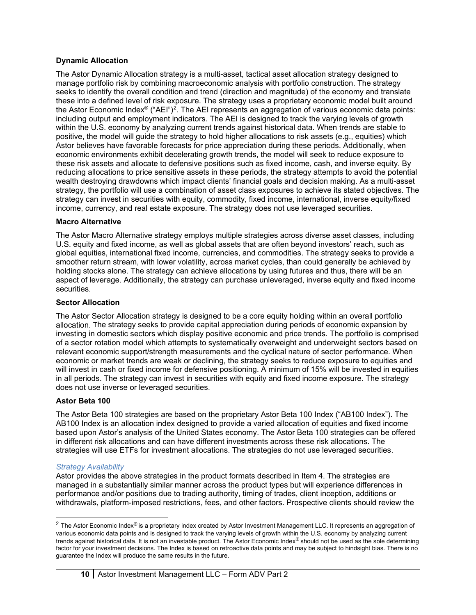#### <span id="page-9-0"></span>**Dynamic Allocation**

The Astor Dynamic Allocation strategy is a multi-asset, tactical asset allocation strategy designed to manage portfolio risk by combining macroeconomic analysis with portfolio construction. The strategy seeks to identify the overall condition and trend (direction and magnitude) of the economy and translate these into a defined level of risk exposure. The strategy uses a proprietary economic model built around the Astor Economic Index® ("AEI")[2.](#page-9-4) The AEI represents an aggregation of various economic data points: including output and employment indicators. The AEI is designed to track the varying levels of growth within the U.S. economy by analyzing current trends against historical data. When trends are stable to positive, the model will guide the strategy to hold higher allocations to risk assets (e.g., equities) which Astor believes have favorable forecasts for price appreciation during these periods. Additionally, when economic environments exhibit decelerating growth trends, the model will seek to reduce exposure to these risk assets and allocate to defensive positions such as fixed income, cash, and inverse equity. By reducing allocations to price sensitive assets in these periods, the strategy attempts to avoid the potential wealth destroying drawdowns which impact clients' financial goals and decision making. As a multi-asset strategy, the portfolio will use a combination of asset class exposures to achieve its stated objectives. The strategy can invest in securities with equity, commodity, fixed income, international, inverse equity/fixed income, currency, and real estate exposure. The strategy does not use leveraged securities.

#### <span id="page-9-1"></span>**Macro Alternative**

The Astor Macro Alternative strategy employs multiple strategies across diverse asset classes, including U.S. equity and fixed income, as well as global assets that are often beyond investors' reach, such as global equities, international fixed income, currencies, and commodities. The strategy seeks to provide a smoother return stream, with lower volatility, across market cycles, than could generally be achieved by holding stocks alone. The strategy can achieve allocations by using futures and thus, there will be an aspect of leverage. Additionally, the strategy can purchase unleveraged, inverse equity and fixed income securities.

#### <span id="page-9-2"></span>**Sector Allocation**

The Astor Sector Allocation strategy is designed to be a core equity holding within an overall portfolio allocation. The strategy seeks to provide capital appreciation during periods of economic expansion by investing in domestic sectors which display positive economic and price trends. The portfolio is comprised of a sector rotation model which attempts to systematically overweight and underweight sectors based on relevant economic support/strength measurements and the cyclical nature of sector performance. When economic or market trends are weak or declining, the strategy seeks to reduce exposure to equities and will invest in cash or fixed income for defensive positioning. A minimum of 15% will be invested in equities in all periods. The strategy can invest in securities with equity and fixed income exposure. The strategy does not use inverse or leveraged securities.

#### <span id="page-9-3"></span>**Astor Beta 100**

The Astor Beta 100 strategies are based on the proprietary Astor Beta 100 Index ("AB100 Index"). The AB100 Index is an allocation index designed to provide a varied allocation of equities and fixed income based upon Astor's analysis of the United States economy. The Astor Beta 100 strategies can be offered in different risk allocations and can have different investments across these risk allocations. The strategies will use ETFs for investment allocations. The strategies do not use leveraged securities.

#### *Strategy Availability*

Astor provides the above strategies in the product formats described in Item 4. The strategies are managed in a substantially similar manner across the product types but will experience differences in performance and/or positions due to trading authority, timing of trades, client inception, additions or withdrawals, platform-imposed restrictions, fees, and other factors. Prospective clients should review the

<span id="page-9-4"></span> $2$  The Astor Economic Index® is a proprietary index created by Astor Investment Management LLC. It represents an aggregation of various economic data points and is designed to track the varying levels of growth within the U.S. economy by analyzing current trends against historical data. It is not an investable product. The Astor Economic Index® should not be used as the sole determining factor for your investment decisions. The Index is based on retroactive data points and may be subject to hindsight bias. There is no guarantee the Index will produce the same results in the future.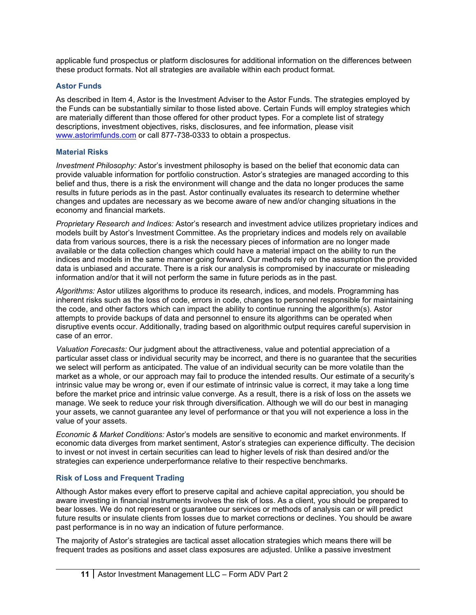applicable fund prospectus or platform disclosures for additional information on the differences between these product formats. Not all strategies are available within each product format.

#### <span id="page-10-0"></span>**Astor Funds**

As described in Item 4, Astor is the Investment Adviser to the Astor Funds. The strategies employed by the Funds can be substantially similar to those listed above. Certain Funds will employ strategies which are materially different than those offered for other product types. For a complete list of strategy descriptions, investment objectives, risks, disclosures, and fee information, please visit [www.astorimfunds.com](http://www.astorimfunds.com/) or call 877-738-0333 to obtain a prospectus.

#### <span id="page-10-1"></span>**Material Risks**

*Investment Philosophy:* Astor's investment philosophy is based on the belief that economic data can provide valuable information for portfolio construction. Astor's strategies are managed according to this belief and thus, there is a risk the environment will change and the data no longer produces the same results in future periods as in the past. Astor continually evaluates its research to determine whether changes and updates are necessary as we become aware of new and/or changing situations in the economy and financial markets.

*Proprietary Research and Indices:* Astor's research and investment advice utilizes proprietary indices and models built by Astor's Investment Committee. As the proprietary indices and models rely on available data from various sources, there is a risk the necessary pieces of information are no longer made available or the data collection changes which could have a material impact on the ability to run the indices and models in the same manner going forward. Our methods rely on the assumption the provided data is unbiased and accurate. There is a risk our analysis is compromised by inaccurate or misleading information and/or that it will not perform the same in future periods as in the past.

*Algorithms:* Astor utilizes algorithms to produce its research, indices, and models. Programming has inherent risks such as the loss of code, errors in code, changes to personnel responsible for maintaining the code, and other factors which can impact the ability to continue running the algorithm(s). Astor attempts to provide backups of data and personnel to ensure its algorithms can be operated when disruptive events occur. Additionally, trading based on algorithmic output requires careful supervision in case of an error.

*Valuation Forecasts:* Our judgment about the attractiveness, value and potential appreciation of a particular asset class or individual security may be incorrect, and there is no guarantee that the securities we select will perform as anticipated. The value of an individual security can be more volatile than the market as a whole, or our approach may fail to produce the intended results. Our estimate of a security's intrinsic value may be wrong or, even if our estimate of intrinsic value is correct, it may take a long time before the market price and intrinsic value converge. As a result, there is a risk of loss on the assets we manage. We seek to reduce your risk through diversification. Although we will do our best in managing your assets, we cannot guarantee any level of performance or that you will not experience a loss in the value of your assets.

*Economic & Market Conditions:* Astor's models are sensitive to economic and market environments. If economic data diverges from market sentiment, Astor's strategies can experience difficulty. The decision to invest or not invest in certain securities can lead to higher levels of risk than desired and/or the strategies can experience underperformance relative to their respective benchmarks.

#### <span id="page-10-2"></span>**Risk of Loss and Frequent Trading**

Although Astor makes every effort to preserve capital and achieve capital appreciation, you should be aware investing in financial instruments involves the risk of loss. As a client, you should be prepared to bear losses. We do not represent or guarantee our services or methods of analysis can or will predict future results or insulate clients from losses due to market corrections or declines. You should be aware past performance is in no way an indication of future performance.

The majority of Astor's strategies are tactical asset allocation strategies which means there will be frequent trades as positions and asset class exposures are adjusted. Unlike a passive investment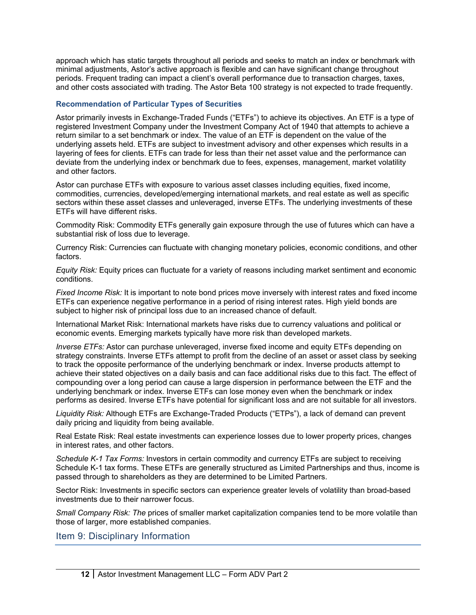approach which has static targets throughout all periods and seeks to match an index or benchmark with minimal adjustments, Astor's active approach is flexible and can have significant change throughout periods. Frequent trading can impact a client's overall performance due to transaction charges, taxes, and other costs associated with trading. The Astor Beta 100 strategy is not expected to trade frequently.

#### <span id="page-11-0"></span>**Recommendation of Particular Types of Securities**

Astor primarily invests in Exchange-Traded Funds ("ETFs") to achieve its objectives. An ETF is a type of registered Investment Company under the Investment Company Act of 1940 that attempts to achieve a return similar to a set benchmark or index. The value of an ETF is dependent on the value of the underlying assets held. ETFs are subject to investment advisory and other expenses which results in a layering of fees for clients. ETFs can trade for less than their net asset value and the performance can deviate from the underlying index or benchmark due to fees, expenses, management, market volatility and other factors.

Astor can purchase ETFs with exposure to various asset classes including equities, fixed income, commodities, currencies, developed/emerging international markets, and real estate as well as specific sectors within these asset classes and unleveraged, inverse ETFs. The underlying investments of these ETFs will have different risks.

Commodity Risk: Commodity ETFs generally gain exposure through the use of futures which can have a substantial risk of loss due to leverage.

Currency Risk: Currencies can fluctuate with changing monetary policies, economic conditions, and other factors.

*Equity Risk:* Equity prices can fluctuate for a variety of reasons including market sentiment and economic conditions.

*Fixed Income Risk:* It is important to note bond prices move inversely with interest rates and fixed income ETFs can experience negative performance in a period of rising interest rates. High yield bonds are subject to higher risk of principal loss due to an increased chance of default.

International Market Risk: International markets have risks due to currency valuations and political or economic events. Emerging markets typically have more risk than developed markets.

*Inverse ETFs:* Astor can purchase unleveraged, inverse fixed income and equity ETFs depending on strategy constraints. Inverse ETFs attempt to profit from the decline of an asset or asset class by seeking to track the opposite performance of the underlying benchmark or index. Inverse products attempt to achieve their stated objectives on a daily basis and can face additional risks due to this fact. The effect of compounding over a long period can cause a large dispersion in performance between the ETF and the underlying benchmark or index. Inverse ETFs can lose money even when the benchmark or index performs as desired. Inverse ETFs have potential for significant loss and are not suitable for all investors.

*Liquidity Risk:* Although ETFs are Exchange-Traded Products ("ETPs"), a lack of demand can prevent daily pricing and liquidity from being available.

Real Estate Risk: Real estate investments can experience losses due to lower property prices, changes in interest rates, and other factors.

*Schedule K-1 Tax Forms:* Investors in certain commodity and currency ETFs are subject to receiving Schedule K-1 tax forms. These ETFs are generally structured as Limited Partnerships and thus, income is passed through to shareholders as they are determined to be Limited Partners.

Sector Risk: Investments in specific sectors can experience greater levels of volatility than broad-based investments due to their narrower focus.

*Small Company Risk: The* prices of smaller market capitalization companies tend to be more volatile than those of larger, more established companies.

<span id="page-11-1"></span>Item 9: Disciplinary Information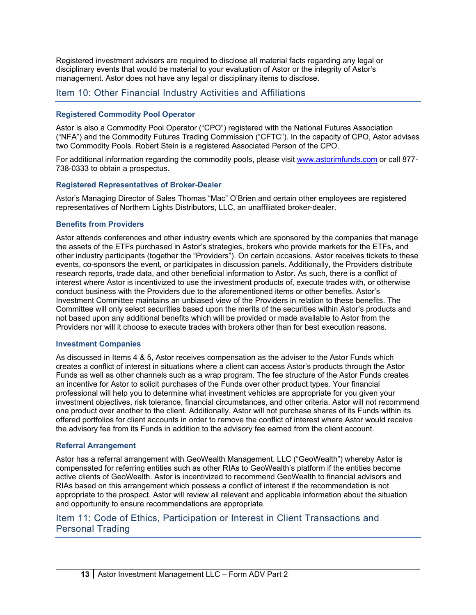Registered investment advisers are required to disclose all material facts regarding any legal or disciplinary events that would be material to your evaluation of Astor or the integrity of Astor's management. Astor does not have any legal or disciplinary items to disclose.

## <span id="page-12-0"></span>Item 10: Other Financial Industry Activities and Affiliations

#### <span id="page-12-1"></span>**Registered Commodity Pool Operator**

Astor is also a Commodity Pool Operator ("CPO") registered with the National Futures Association ("NFA") and the Commodity Futures Trading Commission ("CFTC"). In the capacity of CPO, Astor advises two Commodity Pools. Robert Stein is a registered Associated Person of the CPO.

For additional information regarding the commodity pools, please visit [www.astorimfunds.com](http://www.astorimfunds.com/) or call 877- 738-0333 to obtain a prospectus.

#### <span id="page-12-2"></span>**Registered Representatives of Broker-Dealer**

Astor's Managing Director of Sales Thomas "Mac" O'Brien and certain other employees are registered representatives of Northern Lights Distributors, LLC, an unaffiliated broker-dealer.

#### <span id="page-12-3"></span>**Benefits from Providers**

Astor attends conferences and other industry events which are sponsored by the companies that manage the assets of the ETFs purchased in Astor's strategies, brokers who provide markets for the ETFs, and other industry participants (together the "Providers"). On certain occasions, Astor receives tickets to these events, co-sponsors the event, or participates in discussion panels. Additionally, the Providers distribute research reports, trade data, and other beneficial information to Astor. As such, there is a conflict of interest where Astor is incentivized to use the investment products of, execute trades with, or otherwise conduct business with the Providers due to the aforementioned items or other benefits. Astor's Investment Committee maintains an unbiased view of the Providers in relation to these benefits. The Committee will only select securities based upon the merits of the securities within Astor's products and not based upon any additional benefits which will be provided or made available to Astor from the Providers nor will it choose to execute trades with brokers other than for best execution reasons.

#### <span id="page-12-4"></span>**Investment Companies**

As discussed in Items 4 & 5, Astor receives compensation as the adviser to the Astor Funds which creates a conflict of interest in situations where a client can access Astor's products through the Astor Funds as well as other channels such as a wrap program. The fee structure of the Astor Funds creates an incentive for Astor to solicit purchases of the Funds over other product types. Your financial professional will help you to determine what investment vehicles are appropriate for you given your investment objectives, risk tolerance, financial circumstances, and other criteria. Astor will not recommend one product over another to the client. Additionally, Astor will not purchase shares of its Funds within its offered portfolios for client accounts in order to remove the conflict of interest where Astor would receive the advisory fee from its Funds in addition to the advisory fee earned from the client account.

#### <span id="page-12-5"></span>**Referral Arrangement**

Astor has a referral arrangement with GeoWealth Management, LLC ("GeoWealth") whereby Astor is compensated for referring entities such as other RIAs to GeoWealth's platform if the entities become active clients of GeoWealth. Astor is incentivized to recommend GeoWealth to financial advisors and RIAs based on this arrangement which possess a conflict of interest if the recommendation is not appropriate to the prospect. Astor will review all relevant and applicable information about the situation and opportunity to ensure recommendations are appropriate.

## <span id="page-12-6"></span>Item 11: Code of Ethics, Participation or Interest in Client Transactions and Personal Trading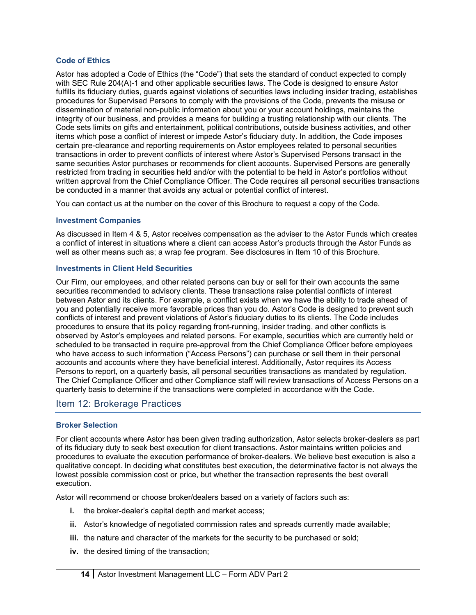#### <span id="page-13-0"></span>**Code of Ethics**

Astor has adopted a Code of Ethics (the "Code") that sets the standard of conduct expected to comply with SEC Rule 204(A)-1 and other applicable securities laws. The Code is designed to ensure Astor fulfills its fiduciary duties, guards against violations of securities laws including insider trading, establishes procedures for Supervised Persons to comply with the provisions of the Code, prevents the misuse or dissemination of material non-public information about you or your account holdings, maintains the integrity of our business, and provides a means for building a trusting relationship with our clients. The Code sets limits on gifts and entertainment, political contributions, outside business activities, and other items which pose a conflict of interest or impede Astor's fiduciary duty. In addition, the Code imposes certain pre-clearance and reporting requirements on Astor employees related to personal securities transactions in order to prevent conflicts of interest where Astor's Supervised Persons transact in the same securities Astor purchases or recommends for client accounts. Supervised Persons are generally restricted from trading in securities held and/or with the potential to be held in Astor's portfolios without written approval from the Chief Compliance Officer. The Code requires all personal securities transactions be conducted in a manner that avoids any actual or potential conflict of interest.

You can contact us at the number on the cover of this Brochure to request a copy of the Code.

#### <span id="page-13-1"></span>**Investment Companies**

As discussed in Item 4 & 5, Astor receives compensation as the adviser to the Astor Funds which creates a conflict of interest in situations where a client can access Astor's products through the Astor Funds as well as other means such as; a wrap fee program. See disclosures in Item 10 of this Brochure.

#### <span id="page-13-2"></span>**Investments in Client Held Securities**

Our Firm, our employees, and other related persons can buy or sell for their own accounts the same securities recommended to advisory clients. These transactions raise potential conflicts of interest between Astor and its clients. For example, a conflict exists when we have the ability to trade ahead of you and potentially receive more favorable prices than you do. Astor's Code is designed to prevent such conflicts of interest and prevent violations of Astor's fiduciary duties to its clients. The Code includes procedures to ensure that its policy regarding front-running, insider trading, and other conflicts is observed by Astor's employees and related persons. For example, securities which are currently held or scheduled to be transacted in require pre-approval from the Chief Compliance Officer before employees who have access to such information ("Access Persons") can purchase or sell them in their personal accounts and accounts where they have beneficial interest. Additionally, Astor requires its Access Persons to report, on a quarterly basis, all personal securities transactions as mandated by regulation. The Chief Compliance Officer and other Compliance staff will review transactions of Access Persons on a quarterly basis to determine if the transactions were completed in accordance with the Code.

### <span id="page-13-3"></span>Item 12: Brokerage Practices

#### <span id="page-13-4"></span>**Broker Selection**

For client accounts where Astor has been given trading authorization, Astor selects broker-dealers as part of its fiduciary duty to seek best execution for client transactions. Astor maintains written policies and procedures to evaluate the execution performance of broker-dealers. We believe best execution is also a qualitative concept. In deciding what constitutes best execution, the determinative factor is not always the lowest possible commission cost or price, but whether the transaction represents the best overall execution.

Astor will recommend or choose broker/dealers based on a variety of factors such as:

- **i.** the broker-dealer's capital depth and market access;
- **ii.** Astor's knowledge of negotiated commission rates and spreads currently made available;
- **iii.** the nature and character of the markets for the security to be purchased or sold;
- **iv.** the desired timing of the transaction;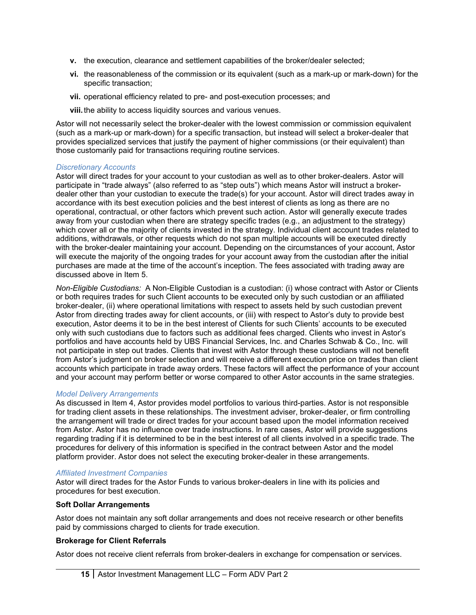- <span id="page-14-2"></span>**v.** the execution, clearance and settlement capabilities of the broker/dealer selected;
- **vi.** the reasonableness of the commission or its equivalent (such as a mark-up or mark-down) for the specific transaction;
- **vii.** operational efficiency related to pre- and post-execution processes; and
- **viii.**the ability to access liquidity sources and various venues.

Astor will not necessarily select the broker-dealer with the lowest commission or commission equivalent (such as a mark-up or mark-down) for a specific transaction, but instead will select a broker-dealer that provides specialized services that justify the payment of higher commissions (or their equivalent) than those customarily paid for transactions requiring routine services.

#### *Discretionary Accounts*

Astor will direct trades for your account to your custodian as well as to other broker-dealers. Astor will participate in "trade always" (also referred to as "step outs") which means Astor will instruct a brokerdealer other than your custodian to execute the trade(s) for your account. Astor will direct trades away in accordance with its best execution policies and the best interest of clients as long as there are no operational, contractual, or other factors which prevent such action. Astor will generally execute trades away from your custodian when there are strategy specific trades (e.g., an adjustment to the strategy) which cover all or the majority of clients invested in the strategy. Individual client account trades related to additions, withdrawals, or other requests which do not span multiple accounts will be executed directly with the broker-dealer maintaining your account. Depending on the circumstances of your account, Astor will execute the majority of the ongoing trades for your account away from the custodian after the initial purchases are made at the time of the account's inception. The fees associated with trading away are discussed above in Item 5.

*Non-Eligible Custodians:* A Non-Eligible Custodian is a custodian: (i) whose contract with Astor or Clients or both requires trades for such Client accounts to be executed only by such custodian or an affiliated broker-dealer, (ii) where operational limitations with respect to assets held by such custodian prevent Astor from directing trades away for client accounts, or (iii) with respect to Astor's duty to provide best execution, Astor deems it to be in the best interest of Clients for such Clients' accounts to be executed only with such custodians due to factors such as additional fees charged. Clients who invest in Astor's portfolios and have accounts hel[d](#page-14-2) by UBS Financial Services, Inc. and Charles Schwab & Co., Inc. will not participate in step out trades. Clients that invest with Astor through these custodians will not benefit from Astor's judgment on broker selection and will receive a different execution price on trades than client accounts which participate in trade away orders. These factors will affect the performance of your account and your account may perform better or worse compared to other Astor accounts in the same strategies.

#### *Model Delivery Arrangements*

As discussed in Item 4, Astor provides model portfolios to various third-parties. Astor is not responsible for trading client assets in these relationships. The investment adviser, broker-dealer, or firm controlling the arrangement will trade or direct trades for your account based upon the model information received from Astor. Astor has no influence over trade instructions. In rare cases, Astor will provide suggestions regarding trading if it is determined to be in the best interest of all clients involved in a specific trade. The procedures for delivery of this information is specified in the contract between Astor and the model platform provider. Astor does not select the executing broker-dealer in these arrangements.

#### *Affiliated Investment Companies*

Astor will direct trades for the Astor Funds to various broker-dealers in line with its policies and procedures for best execution.

#### <span id="page-14-0"></span>**Soft Dollar Arrangements**

Astor does not maintain any soft dollar arrangements and does not receive research or other benefits paid by commissions charged to clients for trade execution.

#### <span id="page-14-1"></span>**Brokerage for Client Referrals**

Astor does not receive client referrals from broker-dealers in exchange for compensation or services.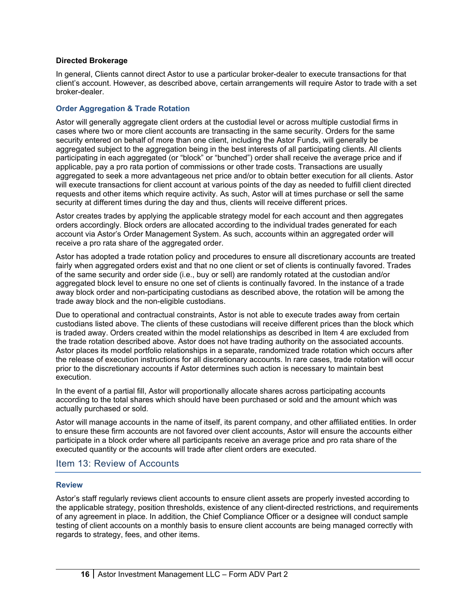#### <span id="page-15-0"></span>**Directed Brokerage**

In general, Clients cannot direct Astor to use a particular broker-dealer to execute transactions for that client's account. However, as described above, certain arrangements will require Astor to trade with a set broker-dealer.

#### <span id="page-15-1"></span>**Order Aggregation & Trade Rotation**

Astor will generally aggregate client orders at the custodial level or across multiple custodial firms in cases where two or more client accounts are transacting in the same security. Orders for the same security entered on behalf of more than one client, including the Astor Funds, will generally be aggregated subject to the aggregation being in the best interests of all participating clients. All clients participating in each aggregated (or "block" or "bunched") order shall receive the average price and if applicable, pay a pro rata portion of commissions or other trade costs. Transactions are usually aggregated to seek a more advantageous net price and/or to obtain better execution for all clients. Astor will execute transactions for client account at various points of the day as needed to fulfill client directed requests and other items which require activity. As such, Astor will at times purchase or sell the same security at different times during the day and thus, clients will receive different prices.

Astor creates trades by applying the applicable strategy model for each account and then aggregates orders accordingly. Block orders are allocated according to the individual trades generated for each account via Astor's Order Management System. As such, accounts within an aggregated order will receive a pro rata share of the aggregated order.

Astor has adopted a trade rotation policy and procedures to ensure all discretionary accounts are treated fairly when aggregated orders exist and that no one client or set of clients is continually favored. Trades of the same security and order side (i.e., buy or sell) are randomly rotated at the custodian and/or aggregated block level to ensure no one set of clients is continually favored. In the instance of a trade away block order and non-participating custodians as described above, the rotation will be among the trade away block and the non-eligible custodians.

Due to operational and contractual constraints, Astor is not able to execute trades away from certain custodians listed above. The clients of these custodians will receive different prices than the block which is traded away. Orders created within the model relationships as described in Item 4 are excluded from the trade rotation described above. Astor does not have trading authority on the associated accounts. Astor places its model portfolio relationships in a separate, randomized trade rotation which occurs after the release of execution instructions for all discretionary accounts. In rare cases, trade rotation will occur prior to the discretionary accounts if Astor determines such action is necessary to maintain best execution.

In the event of a partial fill, Astor will proportionally allocate shares across participating accounts according to the total shares which should have been purchased or sold and the amount which was actually purchased or sold.

Astor will manage accounts in the name of itself, its parent company, and other affiliated entities. In order to ensure these firm accounts are not favored over client accounts, Astor will ensure the accounts either participate in a block order where all participants receive an average price and pro rata share of the executed quantity or the accounts will trade after client orders are executed.

#### <span id="page-15-2"></span>Item 13: Review of Accounts

#### <span id="page-15-3"></span>**Review**

Astor's staff regularly reviews client accounts to ensure client assets are properly invested according to the applicable strategy, position thresholds, existence of any client-directed restrictions, and requirements of any agreement in place. In addition, the Chief Compliance Officer or a designee will conduct sample testing of client accounts on a monthly basis to ensure client accounts are being managed correctly with regards to strategy, fees, and other items.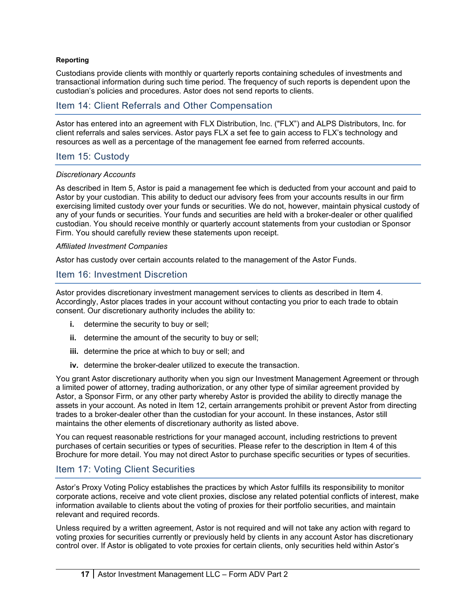#### <span id="page-16-0"></span>**Reporting**

Custodians provide clients with monthly or quarterly reports containing schedules of investments and transactional information during such time period. The frequency of such reports is dependent upon the custodian's policies and procedures. Astor does not send reports to clients.

### <span id="page-16-1"></span>Item 14: Client Referrals and Other Compensation

Astor has entered into an agreement with FLX Distribution, Inc. ("FLX") and ALPS Distributors, Inc. for client referrals and sales services. Astor pays FLX a set fee to gain access to FLX's technology and resources as well as a percentage of the management fee earned from referred accounts.

#### <span id="page-16-2"></span>Item 15: Custody

#### *Discretionary Accounts*

As described in Item 5, Astor is paid a management fee which is deducted from your account and paid to Astor by your custodian. This ability to deduct our advisory fees from your accounts results in our firm exercising limited custody over your funds or securities. We do not, however, maintain physical custody of any of your funds or securities. Your funds and securities are held with a broker-dealer or other qualified custodian. You should receive monthly or quarterly account statements from your custodian or Sponsor Firm. You should carefully review these statements upon receipt.

#### *Affiliated Investment Companies*

Astor has custody over certain accounts related to the management of the Astor Funds.

#### <span id="page-16-3"></span>Item 16: Investment Discretion

Astor provides discretionary investment management services to clients as described in Item 4. Accordingly, Astor places trades in your account without contacting you prior to each trade to obtain consent. Our discretionary authority includes the ability to:

- **i.** determine the security to buy or sell;
- **ii.** determine the amount of the security to buy or sell;
- **iii.** determine the price at which to buy or sell; and
- **iv.** determine the broker-dealer utilized to execute the transaction.

You grant Astor discretionary authority when you sign our Investment Management Agreement or through a limited power of attorney, trading authorization, or any other type of similar agreement provided by Astor, a Sponsor Firm, or any other party whereby Astor is provided the ability to directly manage the assets in your account. As noted in Item 12, certain arrangements prohibit or prevent Astor from directing trades to a broker-dealer other than the custodian for your account. In these instances, Astor still maintains the other elements of discretionary authority as listed above.

You can request reasonable restrictions for your managed account, including restrictions to prevent purchases of certain securities or types of securities. Please refer to the description in Item 4 of this Brochure for more detail. You may not direct Astor to purchase specific securities or types of securities.

### <span id="page-16-4"></span>Item 17: Voting Client Securities

Astor's Proxy Voting Policy establishes the practices by which Astor fulfills its responsibility to monitor corporate actions, receive and vote client proxies, disclose any related potential conflicts of interest, make information available to clients about the voting of proxies for their portfolio securities, and maintain relevant and required records.

Unless required by a written agreement, Astor is not required and will not take any action with regard to voting proxies for securities currently or previously held by clients in any account Astor has discretionary control over. If Astor is obligated to vote proxies for certain clients, only securities held within Astor's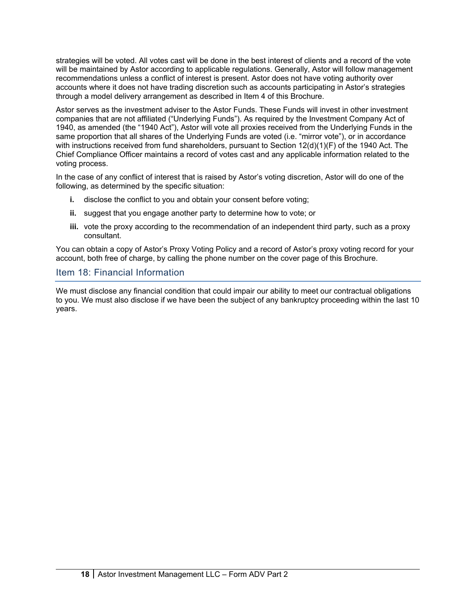strategies will be voted. All votes cast will be done in the best interest of clients and a record of the vote will be maintained by Astor according to applicable regulations. Generally, Astor will follow management recommendations unless a conflict of interest is present. Astor does not have voting authority over accounts where it does not have trading discretion such as accounts participating in Astor's strategies through a model delivery arrangement as described in Item 4 of this Brochure.

Astor serves as the investment adviser to the Astor Funds. These Funds will invest in other investment companies that are not affiliated ("Underlying Funds"). As required by the Investment Company Act of 1940, as amended (the "1940 Act"), Astor will vote all proxies received from the Underlying Funds in the same proportion that all shares of the Underlying Funds are voted (i.e. "mirror vote"), or in accordance with instructions received from fund shareholders, pursuant to Section 12(d)(1)(F) of the 1940 Act. The Chief Compliance Officer maintains a record of votes cast and any applicable information related to the voting process.

In the case of any conflict of interest that is raised by Astor's voting discretion, Astor will do one of the following, as determined by the specific situation:

- **i.** disclose the conflict to you and obtain your consent before voting;
- **ii.** suggest that you engage another party to determine how to vote; or
- **iii.** vote the proxy according to the recommendation of an independent third party, such as a proxy consultant.

You can obtain a copy of Astor's Proxy Voting Policy and a record of Astor's proxy voting record for your account, both free of charge, by calling the phone number on the cover page of this Brochure.

## <span id="page-17-0"></span>Item 18: Financial Information

We must disclose any financial condition that could impair our ability to meet our contractual obligations to you. We must also disclose if we have been the subject of any bankruptcy proceeding within the last 10 years.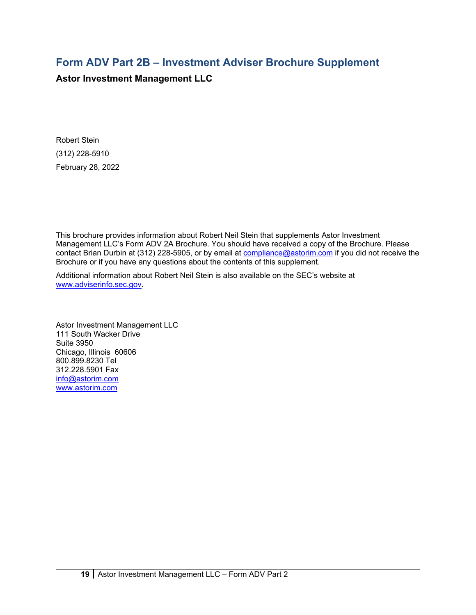# **Form ADV Part 2B – Investment Adviser Brochure Supplement**

**Astor Investment Management LLC**

Robert Stein (312) 228-5910 February 28, 2022

This brochure provides information about Robert Neil Stein that supplements Astor Investment Management LLC's Form ADV 2A Brochure. You should have received a copy of the Brochure. Please contact Brian Durbin at (312) 228-5905, or by email at [compliance@astorim.com](mailto:compliance@astorim.com) if you did not receive the Brochure or if you have any questions about the contents of this supplement.

Additional information about Robert Neil Stein is also available on the SEC's website at [www.adviserinfo.sec.gov.](http://www.adviserinfo.sec.gov/)

Astor Investment Management LLC 111 South Wacker Drive Suite 3950 Chicago, Illinois 60606 800.899.8230 Tel 312.228.5901 Fax [info@astorim.com](mailto:info@astorim.com) [www.astorim.com](http://www.astorim.com/)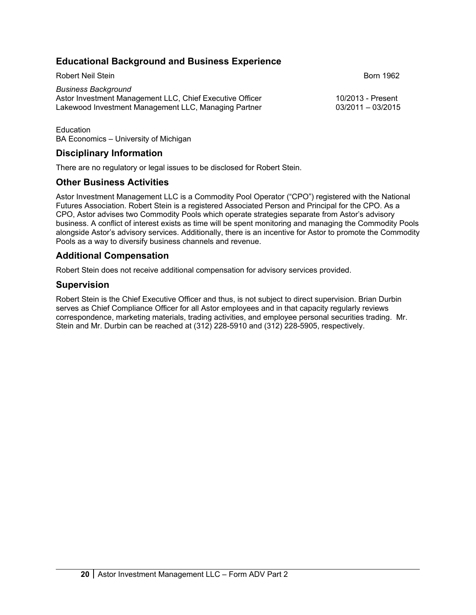# **Educational Background and Business Experience**

Robert Neil Stein Born 1962 *Business Background* Astor Investment Management LLC, Chief Executive Officer 10/2013 - Present Lakewood Investment Management LLC, Managing Partner

**Education** BA Economics – University of Michigan

## **Disciplinary Information**

There are no regulatory or legal issues to be disclosed for Robert Stein.

### **Other Business Activities**

Astor Investment Management LLC is a Commodity Pool Operator ("CPO") registered with the National Futures Association. Robert Stein is a registered Associated Person and Principal for the CPO. As a CPO, Astor advises two Commodity Pools which operate strategies separate from Astor's advisory business. A conflict of interest exists as time will be spent monitoring and managing the Commodity Pools alongside Astor's advisory services. Additionally, there is an incentive for Astor to promote the Commodity Pools as a way to diversify business channels and revenue.

## **Additional Compensation**

Robert Stein does not receive additional compensation for advisory services provided.

## **Supervision**

Robert Stein is the Chief Executive Officer and thus, is not subject to direct supervision. Brian Durbin serves as Chief Compliance Officer for all Astor employees and in that capacity regularly reviews correspondence, marketing materials, trading activities, and employee personal securities trading. Mr. Stein and Mr. Durbin can be reached at (312) 228-5910 and (312) 228-5905, respectively.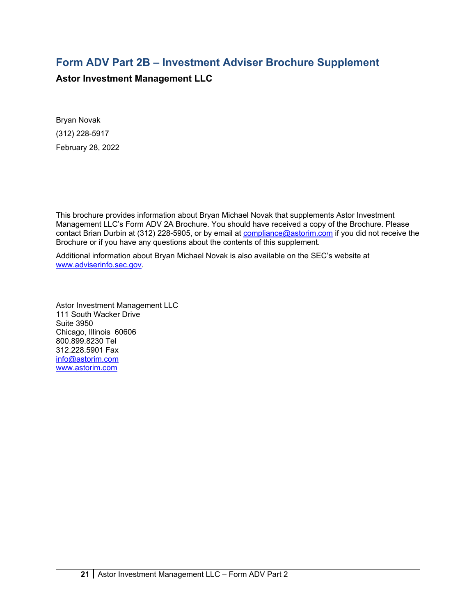# **Form ADV Part 2B – Investment Adviser Brochure Supplement**

**Astor Investment Management LLC**

Bryan Novak (312) 228-5917 February 28, 2022

This brochure provides information about Bryan Michael Novak that supplements Astor Investment Management LLC's Form ADV 2A Brochure. You should have received a copy of the Brochure. Please contact Brian Durbin at (312) 228-5905, or by email at [compliance@astorim.com](mailto:compliance@astorim.com) if you did not receive the Brochure or if you have any questions about the contents of this supplement.

Additional information about Bryan Michael Novak is also available on the SEC's website at [www.adviserinfo.sec.gov.](http://www.adviserinfo.sec.gov/)

Astor Investment Management LLC 111 South Wacker Drive Suite 3950 Chicago, Illinois 60606 800.899.8230 Tel 312.228.5901 Fax [info@astorim.com](mailto:info@astorim.com) [www.astorim.com](http://www.astorim.com/)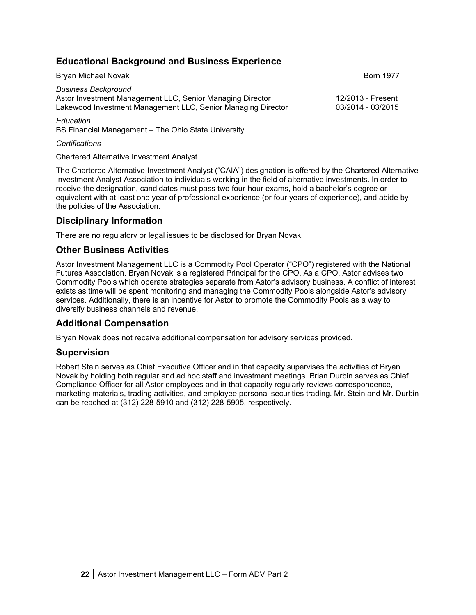# **Educational Background and Business Experience**

| Bryan Michael Novak                                                                                                                                     | <b>Born 1977</b>                       |
|---------------------------------------------------------------------------------------------------------------------------------------------------------|----------------------------------------|
| <b>Business Background</b><br>Astor Investment Management LLC, Senior Managing Director<br>Lakewood Investment Management LLC, Senior Managing Director | 12/2013 - Present<br>03/2014 - 03/2015 |
|                                                                                                                                                         |                                        |

*Education* BS Financial Management – The Ohio State University

*Certifications*

Chartered Alternative Investment Analyst

The Chartered Alternative Investment Analyst ("CAIA") designation is offered by the Chartered Alternative Investment Analyst Association to individuals working in the field of alternative investments. In order to receive the designation, candidates must pass two four-hour exams, hold a bachelor's degree or equivalent with at least one year of professional experience (or four years of experience), and abide by the policies of the Association.

# **Disciplinary Information**

There are no regulatory or legal issues to be disclosed for Bryan Novak.

# **Other Business Activities**

Astor Investment Management LLC is a Commodity Pool Operator ("CPO") registered with the National Futures Association. Bryan Novak is a registered Principal for the CPO. As a CPO, Astor advises two Commodity Pools which operate strategies separate from Astor's advisory business. A conflict of interest exists as time will be spent monitoring and managing the Commodity Pools alongside Astor's advisory services. Additionally, there is an incentive for Astor to promote the Commodity Pools as a way to diversify business channels and revenue.

# **Additional Compensation**

Bryan Novak does not receive additional compensation for advisory services provided.

# **Supervision**

Robert Stein serves as Chief Executive Officer and in that capacity supervises the activities of Bryan Novak by holding both regular and ad hoc staff and investment meetings. Brian Durbin serves as Chief Compliance Officer for all Astor employees and in that capacity regularly reviews correspondence, marketing materials, trading activities, and employee personal securities trading. Mr. Stein and Mr. Durbin can be reached at (312) 228-5910 and (312) 228-5905, respectively.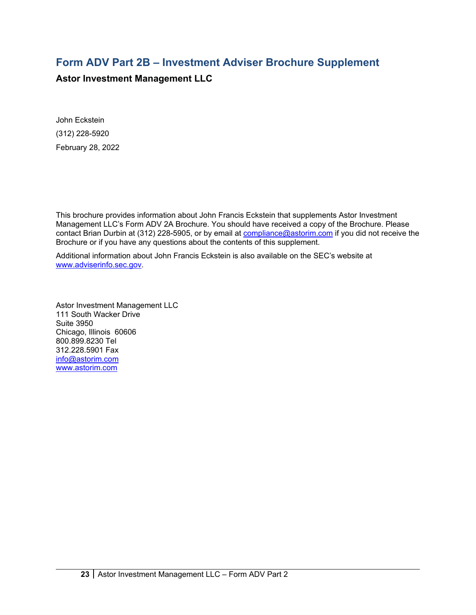# **Form ADV Part 2B – Investment Adviser Brochure Supplement**

**Astor Investment Management LLC**

John Eckstein (312) 228-5920 February 28, 2022

This brochure provides information about John Francis Eckstein that supplements Astor Investment Management LLC's Form ADV 2A Brochure. You should have received a copy of the Brochure. Please contact Brian Durbin at (312) 228-5905, or by email at [compliance@astorim.com](mailto:compliance@astorim.com) if you did not receive the Brochure or if you have any questions about the contents of this supplement.

Additional information about John Francis Eckstein is also available on the SEC's website at [www.adviserinfo.sec.gov.](http://www.adviserinfo.sec.gov/)

Astor Investment Management LLC 111 South Wacker Drive Suite 3950 Chicago, Illinois 60606 800.899.8230 Tel 312.228.5901 Fax [info@astorim.com](mailto:info@astorim.com) [www.astorim.com](http://www.astorim.com/)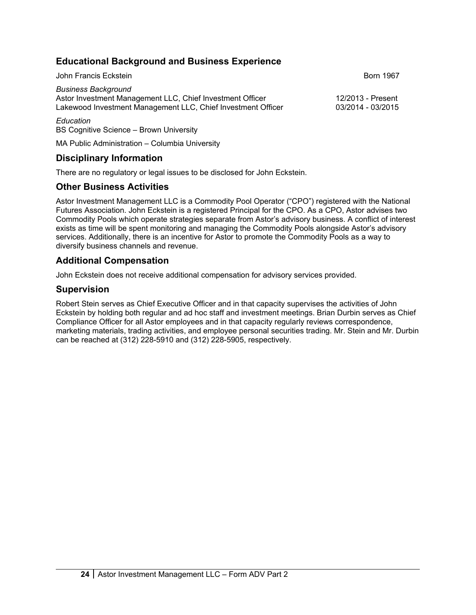# **Educational Background and Business Experience**

| John Francis Eckstein                                                                                                                                   | <b>Born 1967</b>                       |
|---------------------------------------------------------------------------------------------------------------------------------------------------------|----------------------------------------|
| <b>Business Background</b><br>Astor Investment Management LLC, Chief Investment Officer<br>Lakewood Investment Management LLC, Chief Investment Officer | 12/2013 - Present<br>03/2014 - 03/2015 |
| Education                                                                                                                                               |                                        |

BS Cognitive Science – Brown University

MA Public Administration – Columbia University

# **Disciplinary Information**

There are no regulatory or legal issues to be disclosed for John Eckstein.

# **Other Business Activities**

Astor Investment Management LLC is a Commodity Pool Operator ("CPO") registered with the National Futures Association. John Eckstein is a registered Principal for the CPO. As a CPO, Astor advises two Commodity Pools which operate strategies separate from Astor's advisory business. A conflict of interest exists as time will be spent monitoring and managing the Commodity Pools alongside Astor's advisory services. Additionally, there is an incentive for Astor to promote the Commodity Pools as a way to diversify business channels and revenue.

# **Additional Compensation**

John Eckstein does not receive additional compensation for advisory services provided.

# **Supervision**

Robert Stein serves as Chief Executive Officer and in that capacity supervises the activities of John Eckstein by holding both regular and ad hoc staff and investment meetings. Brian Durbin serves as Chief Compliance Officer for all Astor employees and in that capacity regularly reviews correspondence, marketing materials, trading activities, and employee personal securities trading. Mr. Stein and Mr. Durbin can be reached at (312) 228-5910 and (312) 228-5905, respectively.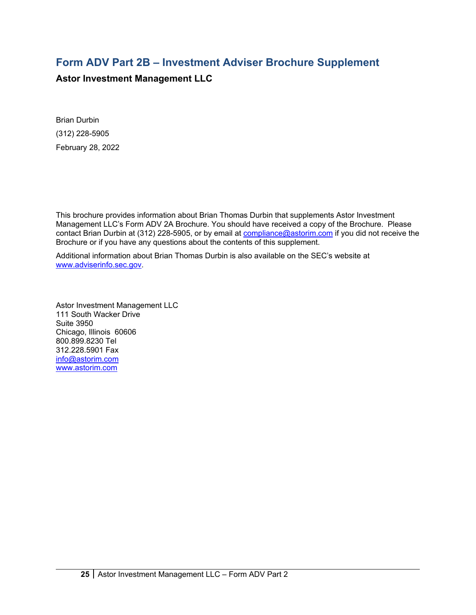# **Form ADV Part 2B – Investment Adviser Brochure Supplement**

**Astor Investment Management LLC**

Brian Durbin (312) 228-5905 February 28, 2022

This brochure provides information about Brian Thomas Durbin that supplements Astor Investment Management LLC's Form ADV 2A Brochure. You should have received a copy of the Brochure. Please contact Brian Durbin at (312) 228-5905, or by email at [compliance@astorim.com](mailto:compliance@astorim.com) if you did not receive the Brochure or if you have any questions about the contents of this supplement.

Additional information about Brian Thomas Durbin is also available on the SEC's website at [www.adviserinfo.sec.gov.](http://www.adviserinfo.sec.gov/)

Astor Investment Management LLC 111 South Wacker Drive Suite 3950 Chicago, Illinois 60606 800.899.8230 Tel 312.228.5901 Fax [info@astorim.com](mailto:info@astorim.com) [www.astorim.com](http://www.astorim.com/)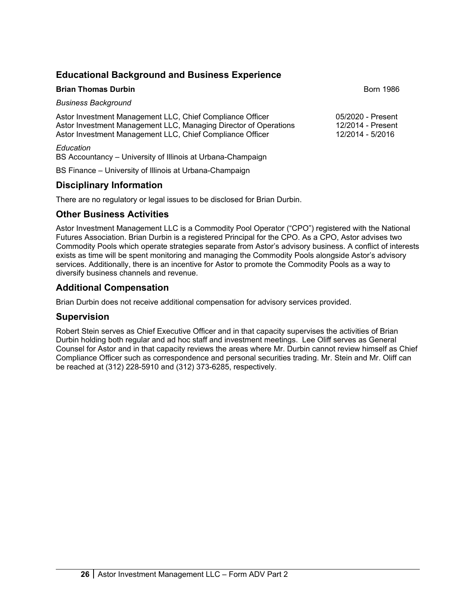# **Educational Background and Business Experience**

| <b>Brian Thomas Durbin</b>                                                                                                                                                                 | <b>Born 1986</b>                                           |
|--------------------------------------------------------------------------------------------------------------------------------------------------------------------------------------------|------------------------------------------------------------|
| <b>Business Background</b>                                                                                                                                                                 |                                                            |
| Astor Investment Management LLC, Chief Compliance Officer<br>Astor Investment Management LLC, Managing Director of Operations<br>Astor Investment Management LLC, Chief Compliance Officer | 05/2020 - Present<br>12/2014 - Present<br>12/2014 - 5/2016 |
| Education<br>BS Accountancy – University of Illinois at Urbana-Champaign                                                                                                                   |                                                            |

BS Finance – University of Illinois at Urbana-Champaign

# **Disciplinary Information**

There are no regulatory or legal issues to be disclosed for Brian Durbin.

# **Other Business Activities**

Astor Investment Management LLC is a Commodity Pool Operator ("CPO") registered with the National Futures Association. Brian Durbin is a registered Principal for the CPO. As a CPO, Astor advises two Commodity Pools which operate strategies separate from Astor's advisory business. A conflict of interests exists as time will be spent monitoring and managing the Commodity Pools alongside Astor's advisory services. Additionally, there is an incentive for Astor to promote the Commodity Pools as a way to diversify business channels and revenue.

# **Additional Compensation**

Brian Durbin does not receive additional compensation for advisory services provided.

# **Supervision**

Robert Stein serves as Chief Executive Officer and in that capacity supervises the activities of Brian Durbin holding both regular and ad hoc staff and investment meetings. Lee Oliff serves as General Counsel for Astor and in that capacity reviews the areas where Mr. Durbin cannot review himself as Chief Compliance Officer such as correspondence and personal securities trading. Mr. Stein and Mr. Oliff can be reached at (312) 228-5910 and (312) 373-6285, respectively.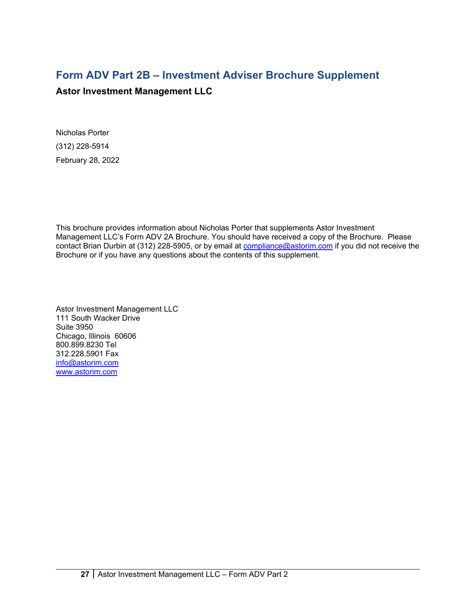# **Form ADV Part 2B – Investment Adviser Brochure Supplement**

# **Astor Investment Management LLC**

Nicholas Porter (312) 228-5914 February 28, 2022

This brochure provides information about Nicholas Porter that supplements Astor Investment Management LLC's Form ADV 2A Brochure. You should have received a copy of the Brochure. Please contact Brian Durbin at (312) 228-5905, or by email at [compliance@astorim.com](mailto:compliance@astorim.com) if you did not receive the Brochure or if you have any questions about the contents of this supplement.

Astor Investment Management LLC 111 South Wacker Drive Suite 3950 Chicago, Illinois 60606 800.899.8230 Tel 312.228.5901 Fax [info@astorim.com](mailto:info@astorim.com) [www.astorim.com](http://www.astorim.com/)